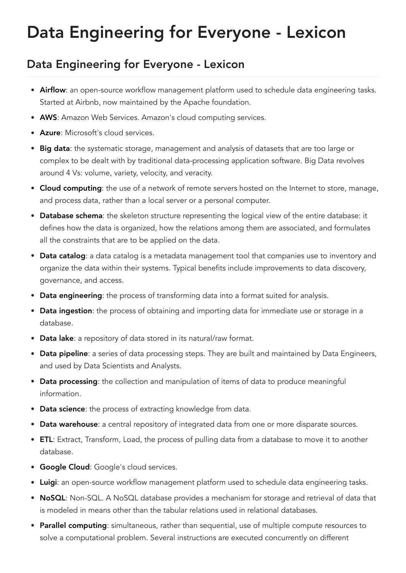## Data Engineering for Everyone - Lexicon

## Data Engineering for Everyone - Lexicon

- Airflow: an open-source workflow management platform used to schedule data engineering tasks. Started at Airbnb, now maintained by the Apache foundation.
- AWS: Amazon Web Services. Amazon's cloud computing services.
- Azure: Microsoft's cloud services.
- Big data: the systematic storage, management and analysis of datasets that are too large or complex to be dealt with by traditional data-processing application software. Big Data revolves around 4 Vs: volume, variety, velocity, and veracity.
- Cloud computing: the use of a network of remote servers hosted on the Internet to store, manage, and process data, rather than a local server or a personal computer.
- Database schema: the skeleton structure representing the logical view of the entire database: it defines how the data is organized, how the relations among them are associated, and formulates all the constraints that are to be applied on the data.
- Data catalog: a data catalog is a metadata management tool that companies use to inventory and organize the data within their systems. Typical benefits include improvements to data discovery, governance, and access.
- Data engineering: the process of transforming data into a format suited for analysis.
- Data ingestion: the process of obtaining and importing data for immediate use or storage in a database.
- Data lake: a repository of data stored in its natural/raw format.
- Data pipeline: a series of data processing steps. They are built and maintained by Data Engineers, and used by Data Scientists and Analysts.
- Data processing: the collection and manipulation of items of data to produce meaningful information.
- Data science: the process of extracting knowledge from data.
- Data warehouse: a central repository of integrated data from one or more disparate sources.
- **ETL:** Extract, Transform, Load, the process of pulling data from a database to move it to another database.
- **Google Cloud:** Google's cloud services.
- Luigi: an open-source workflow management platform used to schedule data engineering tasks.
- NoSQL: Non-SQL. A NoSQL database provides a mechanism for storage and retrieval of data that is modeled in means other than the tabular relations used in relational databases.
- Parallel computing: simultaneous, rather than sequential, use of multiple compute resources to solve a computational problem. Several instructions are executed concurrently on different